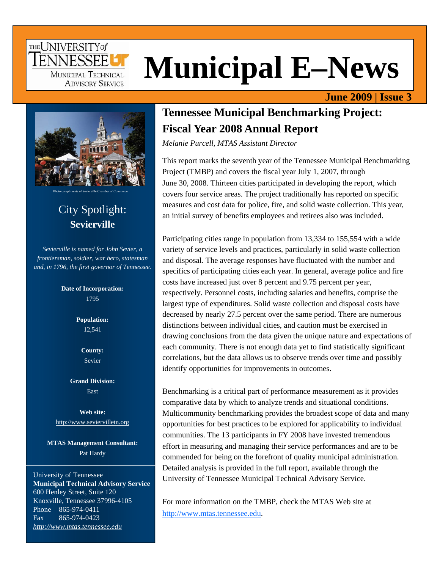## THE UNIVERSITY of **FNNFSSFF** MUNICIPAL TECHNICAL **ADVISORY SERVICE**

# **Municipal E–News**

#### **June 2009 | Issue 3**



Photo compliments of Sevierville Chamber of Commerce

# City Spotlight: **Sevierville**

*Sevierville is named for John Sevier, a frontiersman, soldier, war hero, statesman and, in 1796, the first governor of Tennessee.* 

> **Date of Incorporation:**  1795

> > **Population:**  12,541

> > > **County:**  Sevier

**Grand Division:**  East

**Web site:**  http://www.seviervilletn.org

**MTAS Management Consultant:**  Pat Hardy

University of Tennessee **Municipal Technical Advisory Service**  600 Henley Street, Suite 120 Knoxville, Tennessee 37996-4105 Phone 865-974-0411 Fax 865-974-0423 *http://www.mtas.tennessee.edu*

# **Tennessee Municipal Benchmarking Project: Fiscal Year 2008 Annual Report**

*Melanie Purcell, MTAS Assistant Director* 

This report marks the seventh year of the Tennessee Municipal Benchmarking Project (TMBP) and covers the fiscal year July 1, 2007, through June 30, 2008. Thirteen cities participated in developing the report, which covers four service areas. The project traditionally has reported on specific measures and cost data for police, fire, and solid waste collection. This year, an initial survey of benefits employees and retirees also was included.

Participating cities range in population from 13,334 to 155,554 with a wide variety of service levels and practices, particularly in solid waste collection and disposal. The average responses have fluctuated with the number and specifics of participating cities each year. In general, average police and fire costs have increased just over 8 percent and 9.75 percent per year, respectively. Personnel costs, including salaries and benefits, comprise the largest type of expenditures. Solid waste collection and disposal costs have decreased by nearly 27.5 percent over the same period. There are numerous distinctions between individual cities, and caution must be exercised in drawing conclusions from the data given the unique nature and expectations of each community. There is not enough data yet to find statistically significant correlations, but the data allows us to observe trends over time and possibly identify opportunities for improvements in outcomes.

Benchmarking is a critical part of performance measurement as it provides comparative data by which to analyze trends and situational conditions. Multicommunity benchmarking provides the broadest scope of data and many opportunities for best practices to be explored for applicability to individual communities. The 13 participants in FY 2008 have invested tremendous effort in measuring and managing their service performances and are to be commended for being on the forefront of quality municipal administration. Detailed analysis is provided in the full report, available through the University of Tennessee Municipal Technical Advisory Service.

For more information on the TMBP, check the MTAS Web site at http://www.mtas.tennessee.edu.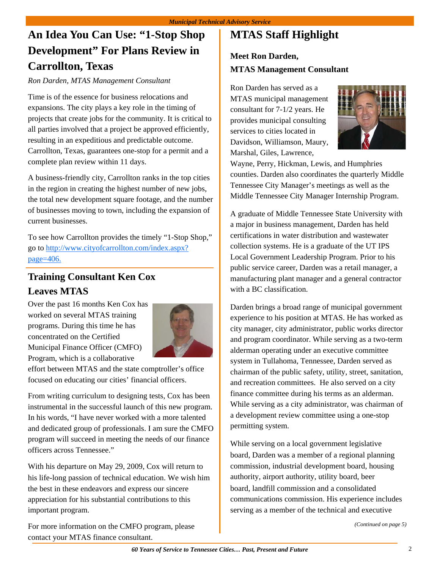# **An Idea You Can Use: "1-Stop Shop Development" For Plans Review in Carrollton, Texas**

*Ron Darden, MTAS Management Consultant* 

Time is of the essence for business relocations and expansions. The city plays a key role in the timing of projects that create jobs for the community. It is critical to all parties involved that a project be approved efficiently, resulting in an expeditious and predictable outcome. Carrollton, Texas, guarantees one-stop for a permit and a complete plan review within 11 days.

A business-friendly city, Carrollton ranks in the top cities in the region in creating the highest number of new jobs, the total new development square footage, and the number of businesses moving to town, including the expansion of current businesses.

To see how Carrollton provides the timely "1-Stop Shop," go to [http://www.cityofcarrollton.com/index.aspx?](http://www.cityofcarrollton.com/index.aspx?page=406) [page=406.](http://www.cityofcarrollton.com/index.aspx?page=406)

## **Training Consultant Ken Cox Leaves MTAS**

Over the past 16 months Ken Cox has worked on several MTAS training programs. During this time he has concentrated on the Certified Municipal Finance Officer (CMFO) Program, which is a collaborative



effort between MTAS and the state comptroller's office focused on educating our cities' financial officers.

From writing curriculum to designing tests, Cox has been instrumental in the successful launch of this new program. In his words, "I have never worked with a more talented and dedicated group of professionals. I am sure the CMFO program will succeed in meeting the needs of our finance officers across Tennessee."

With his departure on May 29, 2009, Cox will return to his life-long passion of technical education. We wish him the best in these endeavors and express our sincere appreciation for his substantial contributions to this important program.

For more information on the CMFO program, please contact your MTAS finance consultant.

# **MTAS Staff Highlight**

### **Meet Ron Darden, MTAS Management Consultant**

Ron Darden has served as a MTAS municipal management consultant for 7-1/2 years. He provides municipal consulting services to cities located in Davidson, Williamson, Maury, Marshal, Giles, Lawrence,



Wayne, Perry, Hickman, Lewis, and Humphries counties. Darden also coordinates the quarterly Middle Tennessee City Manager's meetings as well as the Middle Tennessee City Manager Internship Program.

A graduate of Middle Tennessee State University with a major in business management, Darden has held certifications in water distribution and wastewater collection systems. He is a graduate of the UT IPS Local Government Leadership Program. Prior to his public service career, Darden was a retail manager, a manufacturing plant manager and a general contractor with a BC classification.

Darden brings a broad range of municipal government experience to his position at MTAS. He has worked as city manager, city administrator, public works director and program coordinator. While serving as a two-term alderman operating under an executive committee system in Tullahoma, Tennessee, Darden served as chairman of the public safety, utility, street, sanitation, and recreation committees. He also served on a city finance committee during his terms as an alderman. While serving as a city administrator, was chairman of a development review committee using a one-stop permitting system.

While serving on a local government legislative board, Darden was a member of a regional planning commission, industrial development board, housing authority, airport authority, utility board, beer board, landfill commission and a consolidated communications commission. His experience includes serving as a member of the technical and executive

*[\(Continued on page 5\)](#page-4-0)*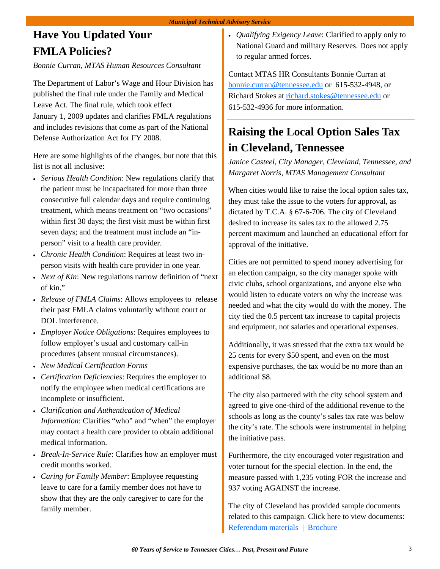# <span id="page-2-0"></span>**Have You Updated Your FMLA Policies?**

*Bonnie Curran, MTAS Human Resources Consultant* 

The Department of Labor's Wage and Hour Division has published the final rule under the Family and Medical Leave Act. The final rule, which took effect January 1, 2009 updates and clarifies FMLA regulations and includes revisions that come as part of the National Defense Authorization Act for FY 2008.

Here are some highlights of the changes, but note that this list is not all inclusive:

- *Serious Health Condition*: New regulations clarify that the patient must be incapacitated for more than three consecutive full calendar days and require continuing treatment, which means treatment on "two occasions" within first 30 days; the first visit must be within first seven days; and the treatment must include an "inperson" visit to a health care provider.
- *Chronic Health Condition*: Requires at least two inperson visits with health care provider in one year.
- *Next of Kin*: New regulations narrow definition of "next of kin."
- *Release of FMLA Claims*: Allows employees to release their past FMLA claims voluntarily without court or DOL interference.
- *Employer Notice Obligations*: Requires employees to follow employer's usual and customary call-in procedures (absent unusual circumstances).
- *New Medical Certification Forms*
- *Certification Deficiencies*: Requires the employer to notify the employee when medical certifications are incomplete or insufficient.
- *Clarification and Authentication of Medical Information*: Clarifies "who" and "when" the employer may contact a health care provider to obtain additional medical information.
- *Break-In-Service Rule*: Clarifies how an employer must credit months worked.
- *Caring for Family Member*: Employee requesting leave to care for a family member does not have to show that they are the only caregiver to care for the family member.

• *Qualifying Exigency Leave*: Clarified to apply only to National Guard and military Reserves. Does not apply to regular armed forces.

Contact MTAS HR Consultants Bonnie Curran at bonnie.curran@tennessee.edu or 615-532-4948, or Richard Stokes at richard.stokes@tennessee.edu or 615-532-4936 for more information.

# **Raising the Local Option Sales Tax in Cleveland, Tennessee**

*Janice Casteel, City Manager, Cleveland, Tennessee, and Margaret Norris, MTAS Management Consultant* 

When cities would like to raise the local option sales tax, they must take the issue to the voters for approval, as dictated by T.C.A. § 67-6-706. The city of Cleveland desired to increase its sales tax to the allowed 2.75 percent maximum and launched an educational effort for approval of the initiative.

Cities are not permitted to spend money advertising for an election campaign, so the city manager spoke with civic clubs, school organizations, and anyone else who would listen to educate voters on why the increase was needed and what the city would do with the money. The city tied the 0.5 percent tax increase to capital projects and equipment, not salaries and operational expenses.

Additionally, it was stressed that the extra tax would be 25 cents for every \$50 spent, and even on the most expensive purchases, the tax would be no more than an additional \$8.

The city also partnered with the city school system and agreed to give one-third of the additional revenue to the schools as long as the county's sales tax rate was below the city's rate. The schools were instrumental in helping the initiative pass.

Furthermore, the city encouraged voter registration and voter turnout for the special election. In the end, the measure passed with 1,235 voting FOR the increase and 937 voting AGAINST the increase.

The city of Cleveland has provided sample documents related to this campaign. Click here to view documents: [Referendum materials](http://www.mtas.tennessee.edu/KnowledgeBase.nsf/0/D546DBDF07ED09B0852575B3005E5296?OpenDocument) | [Brochure](http://www.mtas.tennessee.edu/KnowledgeBase.nsf/0/BC383601C48BD35985256E0C006F099E?OpenDocument)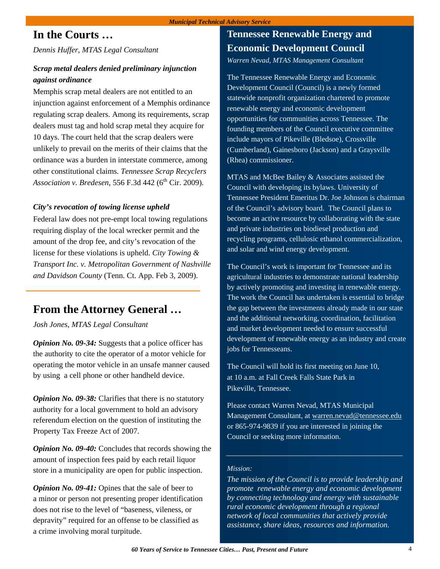## **In the Courts …**

*Dennis Huffer, MTAS Legal Consultant* 

#### *Scrap metal dealers denied preliminary injunction against ordinance*

Memphis scrap metal dealers are not entitled to an injunction against enforcement of a Memphis ordinance regulating scrap dealers. Among its requirements, scrap dealers must tag and hold scrap metal they acquire for 10 days. The court held that the scrap dealers were unlikely to prevail on the merits of their claims that the ordinance was a burden in interstate commerce, among other constitutional claims. *Tennessee Scrap Recyclers Association v. Bredesen,* 556 F.3d 442 (6<sup>th</sup> Cir. 2009).

#### *City's revocation of towing license upheld*

Federal law does not pre-empt local towing regulations requiring display of the local wrecker permit and the amount of the drop fee, and city's revocation of the license for these violations is upheld. *City Towing & Transport Inc. v. Metropolitan Government of Nashville and Davidson County* (Tenn. Ct. App. Feb 3, 2009).

## **From the Attorney General …**

*Josh Jones, MTAS Legal Consultant* 

*Opinion No. 09-34:* Suggests that a police officer has the authority to cite the operator of a motor vehicle for operating the motor vehicle in an unsafe manner caused by using a cell phone or other handheld device.

*Opinion No. 09-38:* Clarifies that there is no statutory authority for a local government to hold an advisory referendum election on the question of instituting the Property Tax Freeze Act of 2007.

*Opinion No. 09-40:* Concludes that records showing the amount of inspection fees paid by each retail liquor store in a municipality are open for public inspection.

*Opinion No. 09-41:* Opines that the sale of beer to a minor or person not presenting proper identification does not rise to the level of "baseness, vileness, or depravity" required for an offense to be classified as a crime involving moral turpitude.

## **Tennessee Renewable Energy and Economic Development Council**

*Warren Nevad, MTAS Management Consultant* 

The Tennessee Renewable Energy and Economic Development Council (Council) is a newly formed statewide nonprofit organization chartered to promote renewable energy and economic development opportunities for communities across Tennessee. The founding members of the Council executive committee include mayors of Pikeville (Bledsoe), Crossville (Cumberland), Gainesboro (Jackson) and a Graysville (Rhea) commissioner.

MTAS and McBee Bailey & Associates assisted the Council with developing its bylaws. University of Tennessee President Emeritus Dr. Joe Johnson is chairman of the Council's advisory board. The Council plans to become an active resource by collaborating with the state and private industries on biodiesel production and recycling programs, cellulosic ethanol commercialization, and solar and wind energy development.

The Council's work is important for Tennessee and its agricultural industries to demonstrate national leadership by actively promoting and investing in renewable energy. The work the Council has undertaken is essential to bridge the gap between the investments already made in our state and the additional networking, coordination, facilitation and market development needed to ensure successful development of renewable energy as an industry and create jobs for Tennesseans.

The Council will hold its first meeting on June 10, at 10 a.m. at Fall Creek Falls State Park in Pikeville, Tennessee.

Please contact Warren Nevad, MTAS Municipal Management Consultant, at warren.nevad@tennessee.edu or 865-974-9839 if you are interested in joining the Council or seeking more information.

#### *Mission:*

*The mission of the Council is to provide leadership and promote renewable energy and economic development by connecting technology and energy with sustainable rural economic development through a regional network of local communities that actively provide assistance, share ideas, resources and information.*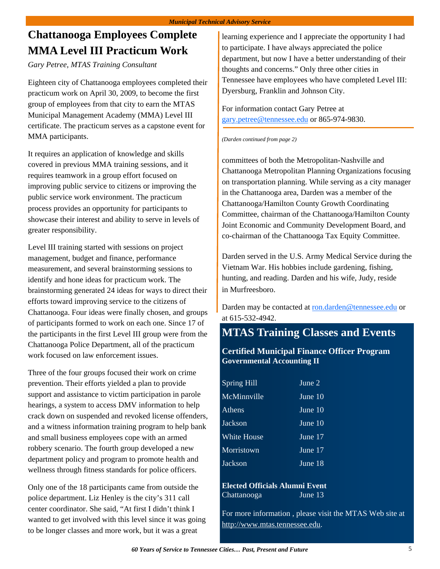# <span id="page-4-0"></span>**Chattanooga Employees Complete MMA Level III Practicum Work**

#### *Gary Petree, MTAS Training Consultant*

Eighteen city of Chattanooga employees completed their practicum work on April 30, 2009, to become the first group of employees from that city to earn the MTAS Municipal Management Academy (MMA) Level III certificate. The practicum serves as a capstone event for MMA participants.

It requires an application of knowledge and skills covered in previous MMA training sessions, and it requires teamwork in a group effort focused on improving public service to citizens or improving the public service work environment. The practicum process provides an opportunity for participants to showcase their interest and ability to serve in levels of greater responsibility.

Level III training started with sessions on project management, budget and finance, performance measurement, and several brainstorming sessions to identify and hone ideas for practicum work. The brainstorming generated 24 ideas for ways to direct their efforts toward improving service to the citizens of Chattanooga. Four ideas were finally chosen, and groups of participants formed to work on each one. Since 17 of the participants in the first Level III group were from the Chattanooga Police Department, all of the practicum work focused on law enforcement issues.

Three of the four groups focused their work on crime prevention. Their efforts yielded a plan to provide support and assistance to victim participation in parole hearings, a system to access DMV information to help crack down on suspended and revoked license offenders, and a witness information training program to help bank and small business employees cope with an armed robbery scenario. The fourth group developed a new department policy and program to promote health and wellness through fitness standards for police officers.

Only one of the 18 participants came from outside the police department. Liz Henley is the city's 311 call center coordinator. She said, "At first I didn't think I wanted to get involved with this level since it was going to be longer classes and more work, but it was a great

learning experience and I appreciate the opportunity I had to participate. I have always appreciated the police department, but now I have a better understanding of their thoughts and concerns." Only three other cities in Tennessee have employees who have completed Level III: Dyersburg, Franklin and Johnson City.

For information contact Gary Petree at gary.petree@tennessee.edu or 865-974-9830.

#### *(Darden continued from page 2)*

committees of both the Metropolitan-Nashville and Chattanooga Metropolitan Planning Organizations focusing on transportation planning. While serving as a city manager in the Chattanooga area, Darden was a member of the Chattanooga/Hamilton County Growth Coordinating Committee, chairman of the Chattanooga/Hamilton County Joint Economic and Community Development Board, and co-chairman of the Chattanooga Tax Equity Committee.

Darden served in the U.S. Army Medical Service during the Vietnam War. His hobbies include gardening, fishing, hunting, and reading. Darden and his wife, Judy, reside in Murfreesboro.

Darden may be contacted at ron.darden@tennessee.edu or at 615-532-4942.

## **MTAS Training Classes and Events**

#### **Certified Municipal Finance Officer Program Governmental Accounting II**

| <b>Spring Hill</b> | June 2    |
|--------------------|-----------|
| McMinnville        | June $10$ |
| Athens             | June $10$ |
| Jackson            | June $10$ |
| <b>White House</b> | June 17   |
| Morristown         | June 17   |
| Jackson            | June 18   |

**Elected Officials Alumni Event**  ChattanoogaJune 13

For more information , please visit the MTAS Web site at http://www.mtas.tennessee.edu.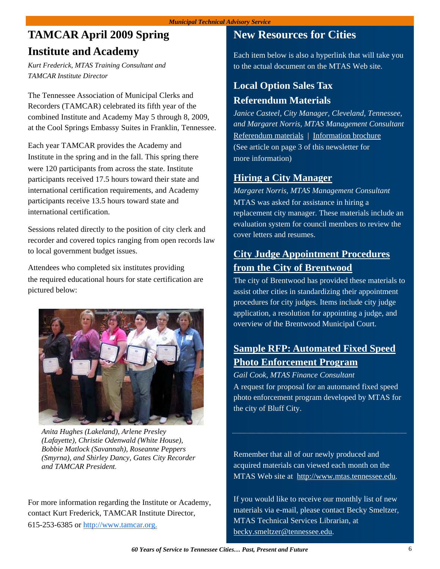# **TAMCAR April 2009 Spring Institute and Academy**

*Kurt Frederick, MTAS Training Consultant and TAMCAR Institute Director* 

The Tennessee Association of Municipal Clerks and Recorders (TAMCAR) celebrated its fifth year of the combined Institute and Academy May 5 through 8, 2009, at the Cool Springs Embassy Suites in Franklin, Tennessee.

Each year TAMCAR provides the Academy and Institute in the spring and in the fall. This spring there were 120 participants from across the state. Institute participants received 17.5 hours toward their state and international certification requirements, and Academy participants receive 13.5 hours toward state and international certification.

Sessions related directly to the position of city clerk and recorder and covered topics ranging from open records law to local government budget issues.

Attendees who completed six institutes providing the required educational hours for state certification are pictured below:



*Anita Hughes (Lakeland), Arlene Presley (Lafayette), Christie Odenwald (White House), Bobbie Matlock (Savannah), Roseanne Peppers (Smyrna), and Shirley Dancy, Gates City Recorder and TAMCAR President.* 

For more information regarding the Institute or Academy, contact Kurt Frederick, TAMCAR Institute Director, 615-253-6385 or http://www.tamcar.org.

## **New Resources for Cities**

Each item below is also a hyperlink that will take you to the actual document on the MTAS Web site.

# **Local Option Sales Tax Referendum Materials**

*Janice Casteel, City Manager, Cleveland, Tennessee, and Margaret Norris, MTAS Management Consultant*  [Referendum materials](http://www.mtas.tennessee.edu/KnowledgeBase.nsf/0/D546DBDF07ED09B0852575B3005E5296?OpenDocument) | [Information brochure](http://www.mtas.tennessee.edu/KnowledgeBase.nsf/0/BC383601C48BD35985256E0C006F099E?OpenDocument) (See article on [page 3](#page-2-0) of this newsletter for more information)

## **[Hiring a City Manager](http://www.mtas.tennessee.edu/KnowledgeBase.nsf/0/75D8BD8040D2C18E85257558005720BC?OpenDocument)**

*Margaret Norris, MTAS Management Consultant*  MTAS was asked for assistance in hiring a replacement city manager. These materials include an evaluation system for council members to review the cover letters and resumes.

## **[City Judge Appointment Procedures](http://www.mtas.tennessee.edu/KnowledgeBase.nsf/0/E287CE9644D0CD80852575A1006B9F5C?OpenDocument)  from the City of Brentwood**

The city of Brentwood has provided these materials to assist other cities in standardizing their appointment procedures for city judges. Items include city judge application, a resolution for appointing a judge, and overview of the Brentwood Municipal Court.

## **[Sample RFP: Automated Fixed Speed](http://www.mtas.tennessee.edu/KnowledgeBase.nsf/0/5FFE1E417DED8D2F8525755800522521?OpenDocument)  Photo Enforcement Program**

*Gail Cook, MTAS Finance Consultant* 

A request for proposal for an automated fixed speed photo enforcement program developed by MTAS for the city of Bluff City.

Remember that all of our newly produced and acquired materials can viewed each month on the MTAS Web site at http://www.mtas.tennessee.edu.

If you would like to receive our monthly list of new materials via e-mail, please contact Becky Smeltzer, MTAS Technical Services Librarian, at becky.smeltzer@tennessee.edu.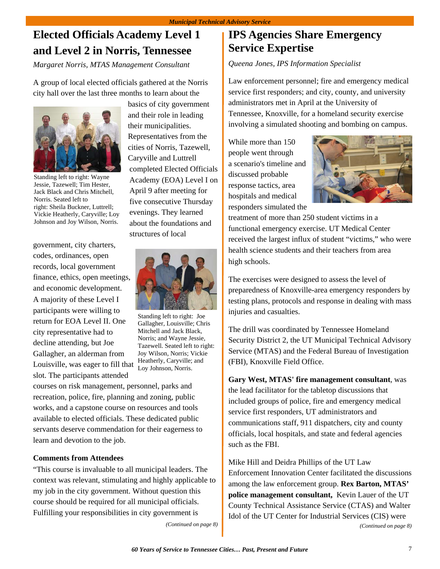# **Elected Officials Academy Level 1 and Level 2 in Norris, Tennessee**

*Margaret Norris, MTAS Management Consultant* 

A group of local elected officials gathered at the Norris city hall over the last three months to learn about the



Standing left to right: Wayne Jessie, Tazewell; Tim Hester, Jack Black and Chris Mitchell, Norris. Seated left to right: Sheila Buckner, Luttrell; Vickie Heatherly, Caryville; Loy Johnson and Joy Wilson, Norris.

government, city charters, codes, ordinances, open records, local government finance, ethics, open meetings, and economic development. A majority of these Level I participants were willing to return for EOA Level II. One city representative had to decline attending, but Joe Gallagher, an alderman from Louisville, was eager to fill that

slot. The participants attended

basics of city government and their role in leading their municipalities. Representatives from the cities of Norris, Tazewell, Caryville and Luttrell completed Elected Officials Academy (EOA) Level I on April 9 after meeting for five consecutive Thursday evenings. They learned about the foundations and structures of local



Standing left to right: Joe Gallagher, Louisville; Chris Mitchell and Jack Black, Norris; and Wayne Jessie, Tazewell. Seated left to right: Joy Wilson, Norris; Vickie Heatherly, Caryville; and Loy Johnson, Norris.

courses on risk management, personnel, parks and recreation, police, fire, planning and zoning, public works, and a capstone course on resources and tools available to elected officials. These dedicated public servants deserve commendation for their eagerness to learn and devotion to the job.

#### **Comments from Attendees**

"This course is invaluable to all municipal leaders. The context was relevant, stimulating and highly applicable to my job in the city government. Without question this course should be required for all municipal officials. Fulfilling your responsibilities in city government is

*[\(Continued on page 8\)](#page-7-0)* 

## **IPS Agencies Share Emergency Service Expertise**

*Queena Jones, IPS Information Specialist* 

Law enforcement personnel; fire and emergency medical service first responders; and city, county, and university administrators met in April at the University of Tennessee, Knoxville, for a homeland security exercise involving a simulated shooting and bombing on campus.

While more than 150 people went through a scenario's timeline and discussed probable response tactics, area hospitals and medical responders simulated the



treatment of more than 250 student victims in a functional emergency exercise. UT Medical Center received the largest influx of student "victims," who were health science students and their teachers from area high schools.

The exercises were designed to assess the level of preparedness of Knoxville-area emergency responders by testing plans, protocols and response in dealing with mass injuries and casualties.

The drill was coordinated by Tennessee Homeland Security District 2, the UT Municipal Technical Advisory Service (MTAS) and the Federal Bureau of Investigation (FBI), Knoxville Field Office.

**Gary West, MTAS' fire management consultant**, was the lead facilitator for the tabletop discussions that included groups of police, fire and emergency medical service first responders, UT administrators and communications staff, 911 dispatchers, city and county officials, local hospitals, and state and federal agencies such as the FBI.

Mike Hill and Deidra Phillips of the UT Law Enforcement Innovation Center facilitated the discussions among the law enforcement group. **Rex Barton, MTAS' police management consultant,** Kevin Lauer of the UT County Technical Assistance Service (CTAS) and Walter Idol of the UT Center for Industrial Services (CIS) were *[\(Continued on page 8\)](#page-7-0)*